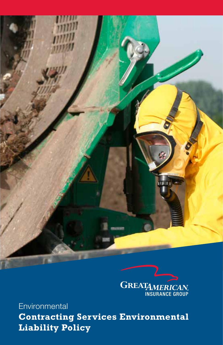



**Environmental Contracting Services Environmental Liability Policy**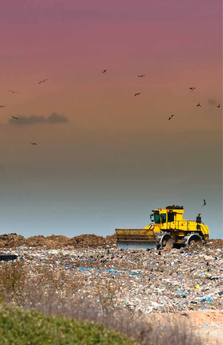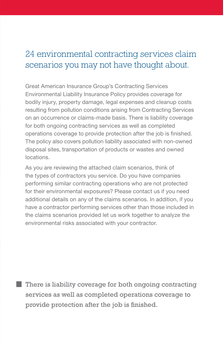# 24 environmental contracting services claim scenarios you may not have thought about.

Great American Insurance Group's Contracting Services Environmental Liability Insurance Policy provides coverage for bodily injury, property damage, legal expenses and cleanup costs resulting from pollution conditions arising from Contracting Services on an occurrence or claims-made basis. There is liability coverage for both ongoing contracting services as well as completed operations coverage to provide protection after the job is finished. The policy also covers pollution liability associated with non-owned disposal sites, transportation of products or wastes and owned locations.

As you are reviewing the attached claim scenarios, think of the types of contractors you service. Do you have companies performing similar contracting operations who are not protected for their environmental exposures? Please contact us if you need additional details on any of the claims scenarios. In addition, if you have a contractor performing services other than those included in the claims scenarios provided let us work together to analyze the environmental risks associated with your contractor.

**There is liability coverage for both ongoing contracting** services as well as completed operations coverage to provide protection after the job is finished.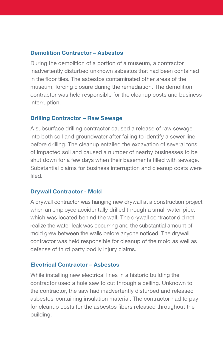# Demolition Contractor – Asbestos

During the demolition of a portion of a museum, a contractor inadvertently disturbed unknown asbestos that had been contained in the floor tiles. The asbestos contaminated other areas of the museum, forcing closure during the remediation. The demolition contractor was held responsible for the cleanup costs and business interruption.

#### Drilling Contractor – Raw Sewage

A subsurface drilling contractor caused a release of raw sewage into both soil and groundwater after failing to identify a sewer line before drilling. The cleanup entailed the excavation of several tons of impacted soil and caused a number of nearby businesses to be shut down for a few days when their basements filled with sewage. Substantial claims for business interruption and cleanup costs were filed.

#### Drywall Contractor - Mold

A drywall contractor was hanging new drywall at a construction project when an employee accidentally drilled through a small water pipe, which was located behind the wall. The drywall contractor did not realize the water leak was occurring and the substantial amount of mold grew between the walls before anyone noticed. The drywall contractor was held responsible for cleanup of the mold as well as defense of third party bodily injury claims.

#### Electrical Contractor – Asbestos

While installing new electrical lines in a historic building the contractor used a hole saw to cut through a ceiling. Unknown to the contractor, the saw had inadvertently disturbed and released asbestos-containing insulation material. The contractor had to pay for cleanup costs for the asbestos fibers released throughout the building.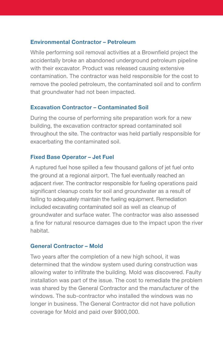# Environmental Contractor – Petroleum

While performing soil removal activities at a Brownfield project the accidentally broke an abandoned underground petroleum pipeline with their excavator. Product was released causing extensive contamination. The contractor was held responsible for the cost to remove the pooled petroleum, the contaminated soil and to confirm that groundwater had not been impacted.

# Excavation Contractor – Contaminated Soil

During the course of performing site preparation work for a new building, the excavation contractor spread contaminated soil throughout the site. The contractor was held partially responsible for exacerbating the contaminated soil.

# Fixed Base Operator – Jet Fuel

A ruptured fuel hose spilled a few thousand gallons of jet fuel onto the ground at a regional airport. The fuel eventually reached an adjacent river. The contractor responsible for fueling operations paid significant cleanup costs for soil and groundwater as a result of failing to adequately maintain the fueling equipment. Remediation included excavating contaminated soil as well as cleanup of groundwater and surface water. The contractor was also assessed a fine for natural resource damages due to the impact upon the river habitat.

#### General Contractor – Mold

Two years after the completion of a new high school, it was determined that the window system used during construction was allowing water to infiltrate the building. Mold was discovered. Faulty installation was part of the issue. The cost to remediate the problem was shared by the General Contractor and the manufacturer of the windows. The sub-contractor who installed the windows was no longer in business. The General Contractor did not have pollution coverage for Mold and paid over \$900,000.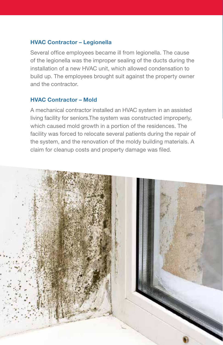# HVAC Contractor – Legionella

Several office employees became ill from legionella. The cause of the legionella was the improper sealing of the ducts during the installation of a new HVAC unit, which allowed condensation to build up. The employees brought suit against the property owner and the contractor.

# HVAC Contractor – Mold

A mechanical contractor installed an HVAC system in an assisted living facility for seniors.The system was constructed improperly, which caused mold growth in a portion of the residences. The facility was forced to relocate several patients during the repair of the system, and the renovation of the moldy building materials. A claim for cleanup costs and property damage was filed.

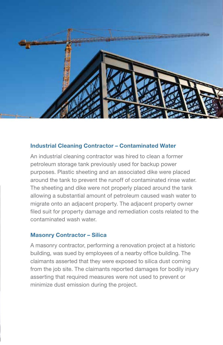

#### Industrial Cleaning Contractor – Contaminated Water

An industrial cleaning contractor was hired to clean a former petroleum storage tank previously used for backup power purposes. Plastic sheeting and an associated dike were placed around the tank to prevent the runoff of contaminated rinse water. The sheeting and dike were not properly placed around the tank allowing a substantial amount of petroleum caused wash water to migrate onto an adjacent property. The adjacent property owner filed suit for property damage and remediation costs related to the contaminated wash water.

#### Masonry Contractor – Silica

A masonry contractor, performing a renovation project at a historic building, was sued by employees of a nearby office building. The claimants asserted that they were exposed to silica dust coming from the job site. The claimants reported damages for bodily injury asserting that required measures were not used to prevent or minimize dust emission during the project.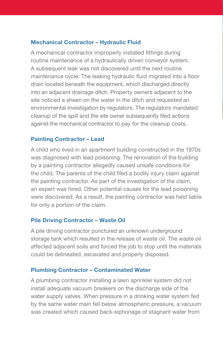# Mechanical Contractor – Hydraulic Fluid

A mechanical contractor improperly installed fittings during routine maintenance of a hydraulically driven conveyor system. A subsequent leak was not discovered until the next routine maintenance cycle. The leaking hydraulic fluid migrated into a floor drain located beneath the equipment, which discharged directly into an adjacent drainage ditch. Property owners adjacent to the site noticed a sheen on the water in the ditch and requested an environmental investigation by regulators. The regulators mandated cleanup of the spill and the site owner subsequently filed actions against the mechanical contractor to pay for the cleanup costs.

#### Painting Contractor – Lead

A child who lived in an apartment building constructed in the 1970s was diagnosed with lead poisoning. The renovation of the building by a painting contractor allegedly caused unsafe conditions for the child. The parents of the child filed a bodily injury claim against the painting contractor. As part of the investigation of the claim, an expert was hired. Other potential causes for the lead poisoning were discovered. As a result, the painting contractor was held liable for only a portion of the claim.

#### Pile Driving Contractor – Waste Oil

A pile driving contractor punctured an unknown underground storage tank which resulted in the release of waste oil. The waste oil affected adjacent soils and forced the job to stop until the materials could be delineated, excavated and properly disposed.

# Plumbing Contractor – Contaminated Water

A plumbing contractor installing a lawn sprinkler system did not install adequate vacuum breakers on the discharge side of the water supply valves. When pressure in a drinking water system fed by the same water main fell below atmospheric pressure, a vacuum was created which caused back-siphonage of stagnant water from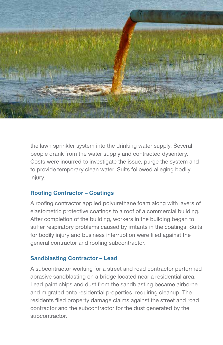

the lawn sprinkler system into the drinking water supply. Several people drank from the water supply and contracted dysentery. Costs were incurred to investigate the issue, purge the system and to provide temporary clean water. Suits followed alleging bodily injury.

#### Roofing Contractor – Coatings

A roofing contractor applied polyurethane foam along with layers of elastometric protective coatings to a roof of a commercial building. After completion of the building, workers in the building began to suffer respiratory problems caused by irritants in the coatings. Suits for bodily injury and business interruption were filed against the general contractor and roofing subcontractor.

#### Sandblasting Contractor – Lead

A subcontractor working for a street and road contractor performed abrasive sandblasting on a bridge located near a residential area. Lead paint chips and dust from the sandblasting became airborne and migrated onto residential properties, requiring cleanup. The residents filed property damage claims against the street and road contractor and the subcontractor for the dust generated by the subcontractor.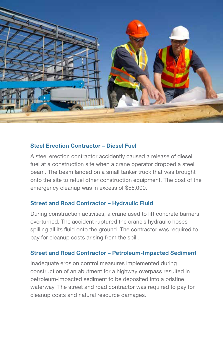

#### Steel Erection Contractor – Diesel Fuel

A steel erection contractor accidently caused a release of diesel fuel at a construction site when a crane operator dropped a steel beam. The beam landed on a small tanker truck that was brought onto the site to refuel other construction equipment. The cost of the emergency cleanup was in excess of \$55,000.

#### Street and Road Contractor – Hydraulic Fluid

During construction activities, a crane used to lift concrete barriers overturned. The accident ruptured the crane's hydraulic hoses spilling all its fluid onto the ground. The contractor was required to pay for cleanup costs arising from the spill.

#### Street and Road Contractor – Petroleum-Impacted Sediment

Inadequate erosion control measures implemented during construction of an abutment for a highway overpass resulted in petroleum-impacted sediment to be deposited into a pristine waterway. The street and road contractor was required to pay for cleanup costs and natural resource damages.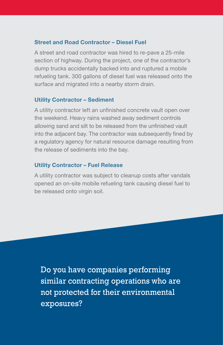#### Street and Road Contractor – Diesel Fuel

A street and road contractor was hired to re-pave a 25-mile section of highway. During the project, one of the contractor's dump trucks accidentally backed into and ruptured a mobile refueling tank. 300 gallons of diesel fuel was released onto the surface and migrated into a nearby storm drain.

#### Utility Contractor – Sediment

A utility contractor left an unfinished concrete vault open over the weekend. Heavy rains washed away sediment controls allowing sand and silt to be released from the unfinished vault into the adjacent bay. The contractor was subsequently fined by a regulatory agency for natural resource damage resulting from the release of sediments into the bay.

#### Utility Contractor – Fuel Release

A utility contractor was subject to cleanup costs after vandals opened an on-site mobile refueling tank causing diesel fuel to be released onto virgin soil.

Do you have companies performing similar contracting operations who are not protected for their environmental exposures?